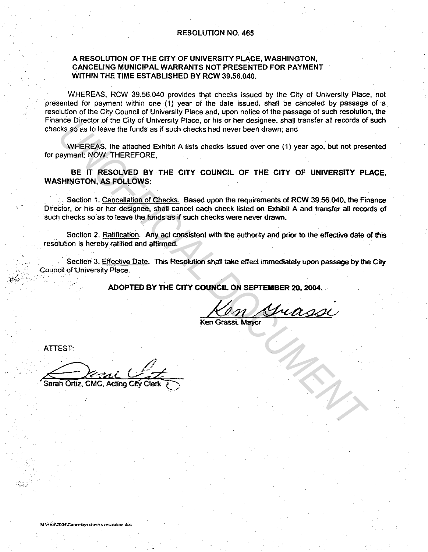## A RESOLUTION OF THE CITY OF UNIVERSITY PLACE, WASHINGTON, CANCELING MUNICIPAL WARRANTS NOT PRESENTED FOR PAYMENT WITHIN THE TIME ESTABLISHED BY RCW 39.56.040.

WHEREAS, RCW 39.56.040 provides that checks issued by the City of University Place, not presented for payment within one (1) year of the date issued, shall be canceled by passage of a resolution of the City Council of University Place and, upon notice of the passage of such resolution, the Finance Director of the City of University Place, or his or her designee, shall transfer all records of such checks so as to leave the funds as if such checks had never been drawn; and

WHEREAS, the attached Exhibit A lists checks issued over one (1) year ago. but not presented for payment; NOW, THEREFORE,

BE IT RESOLVED BY THE CITY COUNCIL OF THE CITY OF UNIVERSITY PLACE, WASHINGTON, AS FOLLOWS:

Section 1. Cancellation of Checks. Based upon the requirements of RCW 39.56.040, the Finance Direcior, or his or her designee, shall cancel each check listed on Exhibit A and transfer all records of such checks so as to leave the funds as if such checks were never drawn. me Director of the Using through years were the function of the City of the City of the City of the City of the City of the City of the City of the City of the City of the City of the City of the Separate Section 1. Cancel

Section 2. Ratification. Any act consistent with the authority and prior to the effective date of this resolution is hereby ratified and affinned.

Section 3. Effective Date. This Resolution shall take effect immediately upon passage by the *City*  Council of University Place.

ADOPTED BY THE CITY COUNCIL ON SEPTEMBER 20, 2004.

~~'::·.''··'""··'